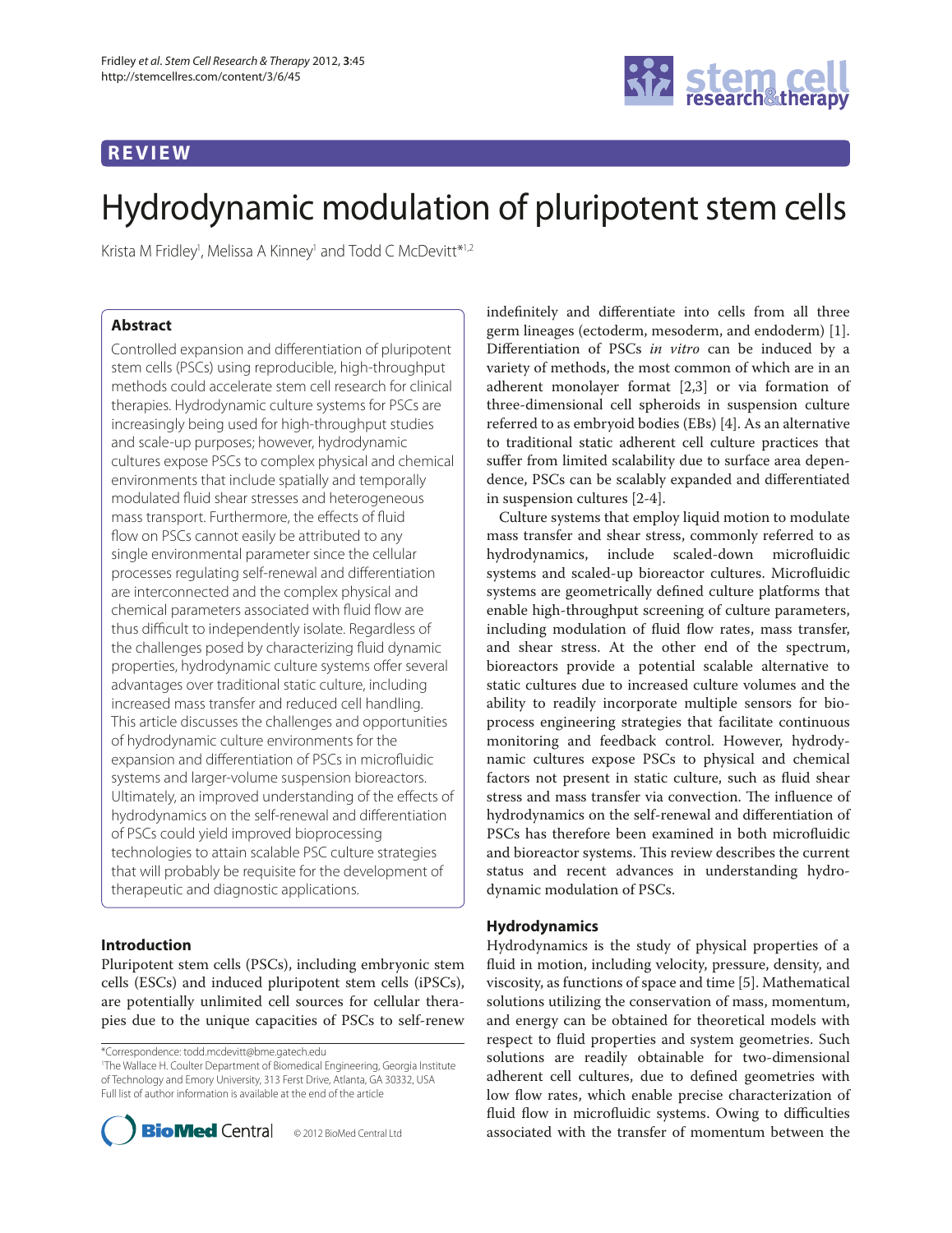## **REVIEW**



# Hydrodynamic modulation of pluripotent stem cells

Krista M Fridley<sup>1</sup>, Melissa A Kinney<sup>1</sup> and Todd C McDevitt\*<sup>1,2</sup>

## **Abstract**

Controlled expansion and differentiation of pluripotent stem cells (PSCs) using reproducible, high-throughput methods could accelerate stem cell research for clinical therapies. Hydrodynamic culture systems for PSCs are increasingly being used for high-throughput studies and scale-up purposes; however, hydrodynamic cultures expose PSCs to complex physical and chemical environments that include spatially and temporally modulated fluid shear stresses and heterogeneous mass transport. Furthermore, the effects of fluid flow on PSCs cannot easily be attributed to any single environmental parameter since the cellular processes regulating self-renewal and differentiation are interconnected and the complex physical and chemical parameters associated with fluid flow are thus difficult to independently isolate. Regardless of the challenges posed by characterizing fluid dynamic properties, hydrodynamic culture systems offer several advantages over traditional static culture, including increased mass transfer and reduced cell handling. This article discusses the challenges and opportunities of hydrodynamic culture environments for the expansion and differentiation of PSCs in microfluidic systems and larger-volume suspension bioreactors. Ultimately, an improved understanding of the effects of hydrodynamics on the self-renewal and differentiation of PSCs could yield improved bioprocessing technologies to attain scalable PSC culture strategies that will probably be requisite for the development of therapeutic and diagnostic applications.

## **Introduction**

Pluripotent stem cells (PSCs), including embryonic stem cells (ESCs) and induced pluripotent stem cells (iPSCs), are potentially unlimited cell sources for cellular therapies due to the unique capacities of PSCs to self-renew

\*Correspondence: todd.mcdevitt@bme.gatech.edu

<sup>1</sup> The Wallace H. Coulter Department of Biomedical Engineering, Georgia Institute of Technology and Emory University, 313 Ferst Drive, Atlanta, GA 30332, USA Full list of author information is available at the end of the article



indefinitely and differentiate into cells from all three germ lineages (ectoderm, mesoderm, and endoderm) [1]. Differentiation of PSCs in vitro can be induced by a variety of methods, the most common of which are in an adherent monolayer format [2,3] or via formation of three-dimensional cell spheroids in suspension culture referred to as embryoid bodies (EBs) [4]. As an alternative to traditional static adherent cell culture practices that suffer from limited scalability due to surface area dependence, PSCs can be scalably expanded and differentiated in suspension cultures [2-4].

Culture systems that employ liquid motion to modulate mass transfer and shear stress, commonly referred to as hydrodynamics, include scaled-down microfluidic systems and scaled-up bioreactor cultures. Microfluidic systems are geometrically defined culture platforms that enable high-throughput screening of culture parameters, including modulation of fluid flow rates, mass transfer, and shear stress. At the other end of the spectrum, bioreactors provide a potential scalable alternative to static cultures due to increased culture volumes and the ability to readily incorporate multiple sensors for bioprocess engineering strategies that facilitate continuous monitoring and feedback control. However, hydrodynamic cultures expose PSCs to physical and chemical factors not present in static culture, such as fluid shear stress and mass transfer via convection. The influence of hydrodynamics on the self-renewal and differentiation of PSCs has therefore been examined in both microfluidic and bioreactor systems. This review describes the current status and recent advances in understanding hydrodynamic modulation of PSCs.

## **Hydrodynamics**

Hydrodynamics is the study of physical properties of a fluid in motion, including velocity, pressure, density, and viscosity, as functions of space and time [5]. Mathematical solutions utilizing the conservation of mass, momentum, and energy can be obtained for theoretical models with respect to fluid properties and system geometries. Such solutions are readily obtainable for two-dimensional adherent cell cultures, due to defined geometries with low flow rates, which enable precise characterization of fluid flow in microfluidic systems. Owing to difficulties associated with the transfer of momentum between the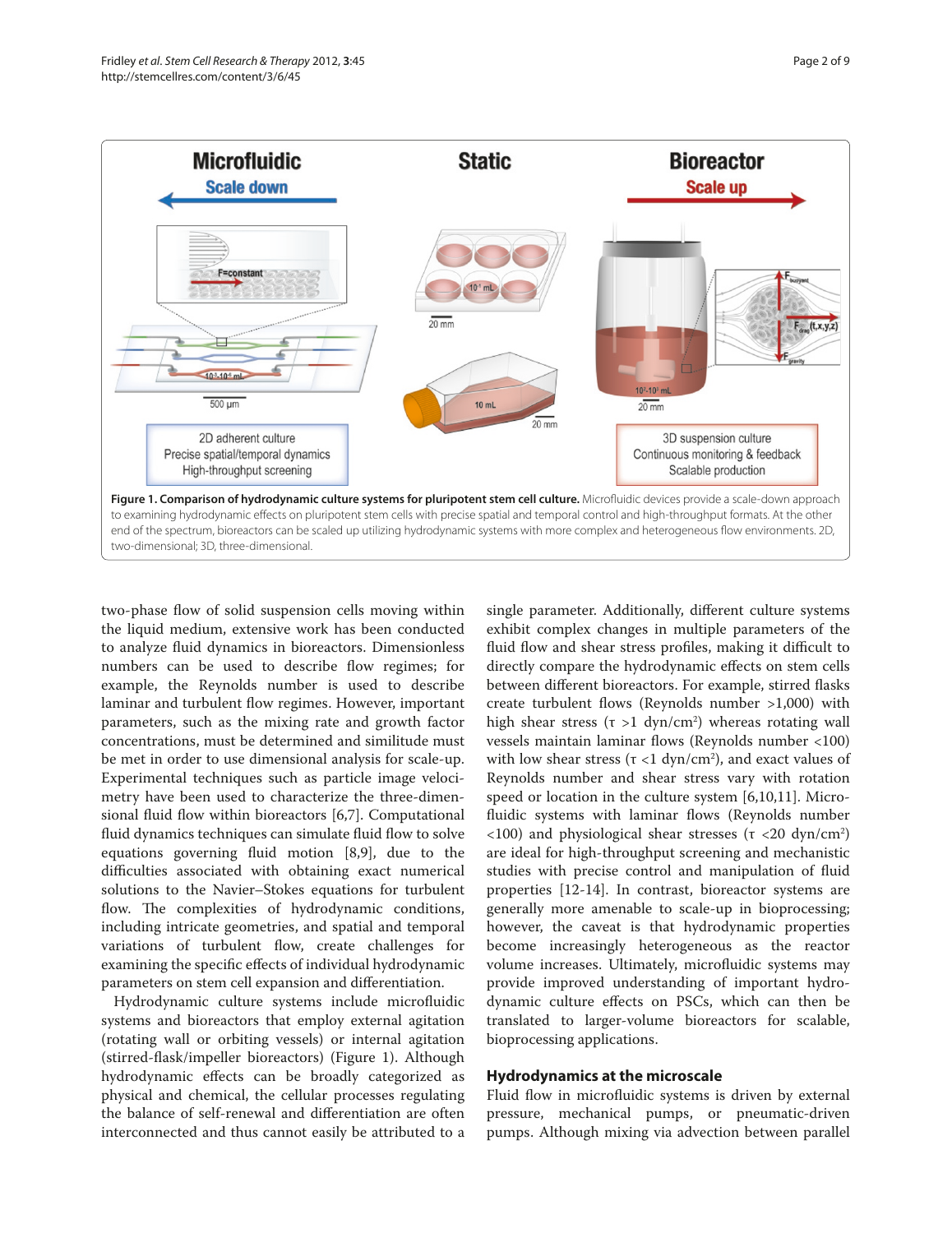

two-phase flow of solid suspension cells moving within the liquid medium, extensive work has been conducted to analyze fluid dynamics in bioreactors. Dimensionless numbers can be used to describe flow regimes; for example, the Reynolds number is used to describe laminar and turbulent flow regimes. However, important parameters, such as the mixing rate and growth factor concentrations, must be determined and similitude must be met in order to use dimensional analysis for scale-up. Experimental techniques such as particle image velocimetry have been used to characterize the three-dimensional fluid flow within bioreactors  $[6,7]$ . Computational fluid dynamics techniques can simulate fluid flow to solve equations governing fluid motion  $[8,9]$ , due to the difficulties associated with obtaining exact numerical solutions to the Navier–Stokes equations for turbulent flow. The complexities of hydrodynamic conditions, including intricate geometries, and spatial and temporal variations of turbulent flow, create challenges for examining the specific effects of individual hydrodynamic parameters on stem cell expansion and differentiation.

Hydrodynamic culture systems include microfluidic systems and bioreactors that employ external agitation (rotating wall or orbiting vessels) or internal agitation (stirred-flask/impeller bioreactors) (Figure 1). Although hydrodynamic effects can be broadly categorized as physical and chemical, the cellular processes regulating the balance of self-renewal and differentiation are often interconnected and thus cannot easily be attributed to a single parameter. Additionally, different culture systems exhibit complex changes in multiple parameters of the fluid flow and shear stress profiles, making it difficult to directly compare the hydrodynamic effects on stem cells between different bioreactors. For example, stirred flasks create turbulent flows (Reynolds number  $>1,000$ ) with high shear stress  $(\tau > 1 \text{ dyn/cm}^2)$  whereas rotating wall vessels maintain laminar flows (Reynolds number <100) with low shear stress ( $\tau$  <1 dyn/cm<sup>2</sup>), and exact values of Reynolds number and shear stress vary with rotation speed or location in the culture system [6,10,11]. Microfluidic systems with laminar flows (Reynolds number  $(100)$  and physiological shear stresses (τ  $(20 \text{ dyn/cm}^2)$ ) are ideal for high-throughput screening and mechanistic studies with precise control and manipulation of fluid properties [12-14]. In contrast, bioreactor systems are generally more amenable to scale-up in bioprocessing; however, the caveat is that hydrodynamic properties become increasingly heterogeneous as the reactor volume increases. Ultimately, microfluidic systems may provide improved understanding of important hydrodynamic culture effects on PSCs, which can then be translated to larger-volume bioreactors for scalable, bioprocessing applications.

## **Hydrodynamics at the microscale**

Fluid flow in microfluidic systems is driven by external pressure, mechanical pumps, or pneumatic-driven pumps. Although mixing via advection between parallel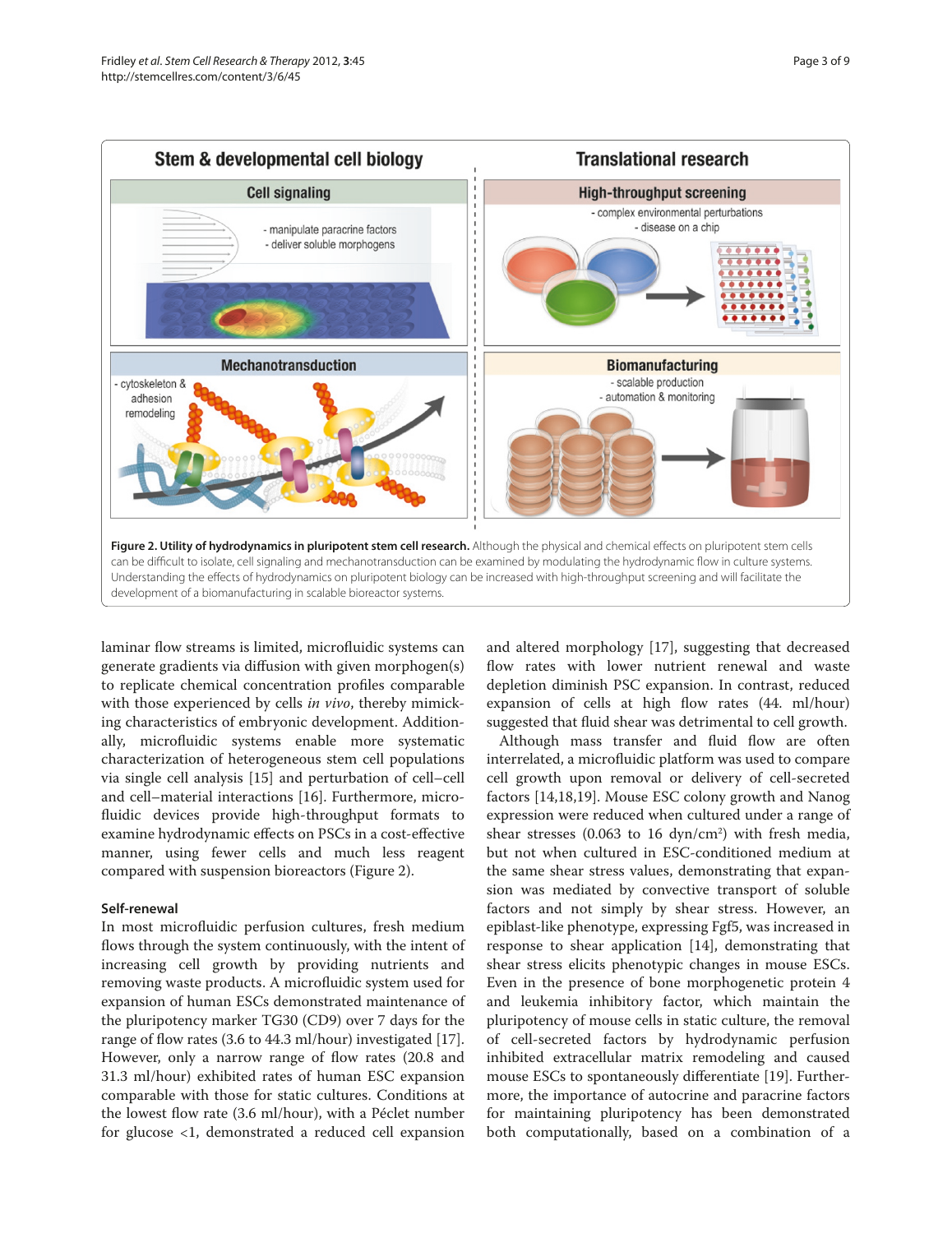

laminar flow streams is limited, microfluidic systems can generate gradients via diffusion with given morphogen(s) to replicate chemical concentration profiles comparable with those experienced by cells *in vivo*, thereby mimicking characteristics of embryonic development. Additionally, microfluidic systems enable more systematic characterization of heterogeneous stem cell populations via single cell analysis [15] and perturbation of cell–cell and cell–material interactions [16]. Furthermore, microfluidic devices provide high-throughput formats to examine hydrodynamic effects on PSCs in a cost-effective manner, using fewer cells and much less reagent compared with suspension bioreactors (Figure 2).

## **Self-renewal**

In most microfluidic perfusion cultures, fresh medium flows through the system continuously, with the intent of increasing cell growth by providing nutrients and removing waste products. A microfluidic system used for expansion of human ESCs demonstrated maintenance of the pluripotency marker TG30 (CD9) over 7 days for the range of flow rates (3.6 to 44.3 ml/hour) investigated [17]. However, only a narrow range of flow rates (20.8 and 31.3 ml/hour) exhibited rates of human ESC expansion comparable with those for static cultures. Conditions at the lowest flow rate (3.6 ml/hour), with a Péclet number for glucose <1, demonstrated a reduced cell expansion

and altered morphology [17], suggesting that decreased flow rates with lower nutrient renewal and waste depletion diminish PSC expansion. In contrast, reduced expansion of cells at high flow rates (44. ml/hour) suggested that fluid shear was detrimental to cell growth.

Although mass transfer and fluid flow are often interrelated, a microfluidic platform was used to compare cell growth upon removal or delivery of cell-secreted factors [14,18,19]. Mouse ESC colony growth and Nanog expression were reduced when cultured under a range of shear stresses (0.063 to 16  $dyn/cm<sup>2</sup>$ ) with fresh media, but not when cultured in ESC-conditioned medium at the same shear stress values, demonstrating that expansion was mediated by convective transport of soluble factors and not simply by shear stress. However, an epiblast-like phenotype, expressing Fgf5, was increased in response to shear application [14], demonstrating that shear stress elicits phenotypic changes in mouse ESCs. Even in the presence of bone morphogenetic protein 4 and leukemia inhibitory factor, which maintain the pluripotency of mouse cells in static culture, the removal of cell-secreted factors by hydrodynamic perfusion inhibited extracellular matrix remodeling and caused mouse ESCs to spontaneously differentiate [19]. Furthermore, the importance of autocrine and paracrine factors for maintaining pluripotency has been demonstrated both computationally, based on a combination of a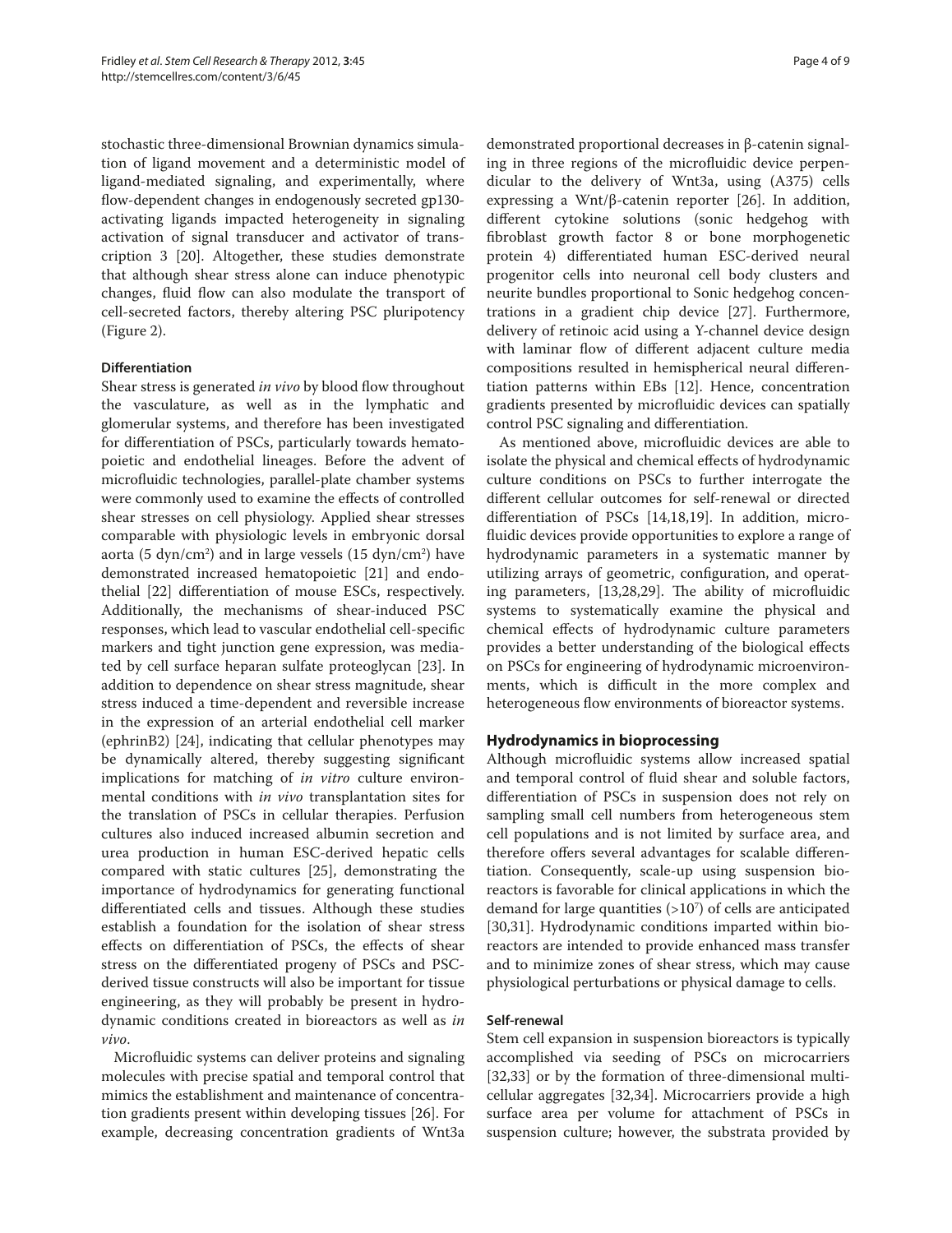stochastic three-dimensional Brownian dynamics simulation of ligand movement and a deterministic model of ligand-mediated signaling, and experimentally, where flow-dependent changes in endogenously secreted gp130activating ligands impacted heterogeneity in signaling activation of signal transducer and activator of transcription 3 [20]. Altogether, these studies demonstrate that although shear stress alone can induce phenotypic changes, fluid flow can also modulate the transport of cell-secreted factors, thereby altering PSC pluripotency (Figure 2).

#### **Differentiation**

Shear stress is generated *in vivo* by blood flow throughout the vasculature, as well as in the lymphatic and glomerular systems, and therefore has been investigated for differentiation of PSCs, particularly towards hematopoietic and endothelial lineages. Before the advent of microfluidic technologies, parallel-plate chamber systems were commonly used to examine the effects of controlled shear stresses on cell physiology. Applied shear stresses comparable with physiologic levels in embryonic dorsal aorta (5 dyn/cm<sup>2</sup>) and in large vessels (15 dyn/cm<sup>2</sup>) have demonstrated increased hematopoietic [21] and endothelial [22] differentiation of mouse ESCs, respectively. Additionally, the mechanisms of shear-induced PSC responses, which lead to vascular endothelial cell-specific markers and tight junction gene expression, was mediated by cell surface heparan sulfate proteoglycan [23]. In addition to dependence on shear stress magnitude, shear stress induced a time-dependent and reversible increase in the expression of an arterial endothelial cell marker (ephrinB2) [24], indicating that cellular phenotypes may be dynamically altered, thereby suggesting significant implications for matching of *in vitro* culture environmental conditions with *in vivo* transplantation sites for the translation of PSCs in cellular therapies. Perfusion cultures also induced increased albumin secretion and urea production in human ESC-derived hepatic cells compared with static cultures [25], demonstrating the importance of hydrodynamics for generating functional differentiated cells and tissues. Although these studies establish a foundation for the isolation of shear stress effects on differentiation of PSCs, the effects of shear stress on the differentiated progeny of PSCs and PSCderived tissue constructs will also be important for tissue engineering, as they will probably be present in hydrodynamic conditions created in bioreactors as well as *in vivo*.

Microfluidic systems can deliver proteins and signaling molecules with precise spatial and temporal control that mimics the establishment and maintenance of concentration gradients present within developing tissues [26]. For example, decreasing concentration gradients of Wnt3a demonstrated proportional decreases in β-catenin signaling in three regions of the microfluidic device perpendicular to the delivery of Wnt3a, using (A375) cells expressing a Wnt/β-catenin reporter [26]. In addition, different cytokine solutions (sonic hedgehog with fibroblast growth factor 8 or bone morphogenetic protein 4) differentiated human ESC-derived neural progenitor cells into neuronal cell body clusters and neurite bundles proportional to Sonic hedgehog concentrations in a gradient chip device [27]. Furthermore, delivery of retinoic acid using a Y-channel device design with laminar flow of different adjacent culture media compositions resulted in hemispherical neural differentiation patterns within EBs [12]. Hence, concentration gradients presented by microfluidic devices can spatially control PSC signaling and differentiation.

As mentioned above, microfluidic devices are able to isolate the physical and chemical effects of hydrodynamic culture conditions on PSCs to further interrogate the different cellular outcomes for self-renewal or directed differentiation of PSCs [14,18,19]. In addition, microfluidic devices provide opportunities to explore a range of hydrodynamic parameters in a systematic manner by utilizing arrays of geometric, configuration, and operating parameters,  $[13,28,29]$ . The ability of microfluidic systems to systematically examine the physical and chemical effects of hydrodynamic culture parameters provides a better understanding of the biological effects on PSCs for engineering of hydrodynamic microenvironments, which is difficult in the more complex and heterogeneous flow environments of bioreactor systems.

#### **Hydrodynamics in bioprocessing**

Although microfluidic systems allow increased spatial and temporal control of fluid shear and soluble factors, differentiation of PSCs in suspension does not rely on sampling small cell numbers from heterogeneous stem cell populations and is not limited by surface area, and therefore offers several advantages for scalable differentiation. Consequently, scale-up using suspension bioreactors is favorable for clinical applications in which the demand for large quantities (>107 ) of cells are anticipated [30,31]. Hydrodynamic conditions imparted within bioreactors are intended to provide enhanced mass transfer and to minimize zones of shear stress, which may cause physiological perturbations or physical damage to cells.

#### **Self-renewal**

Stem cell expansion in suspension bioreactors is typically accomplished via seeding of PSCs on microcarriers [32,33] or by the formation of three-dimensional multicellular aggregates [32,34]. Microcarriers provide a high surface area per volume for attachment of PSCs in suspension culture; however, the substrata provided by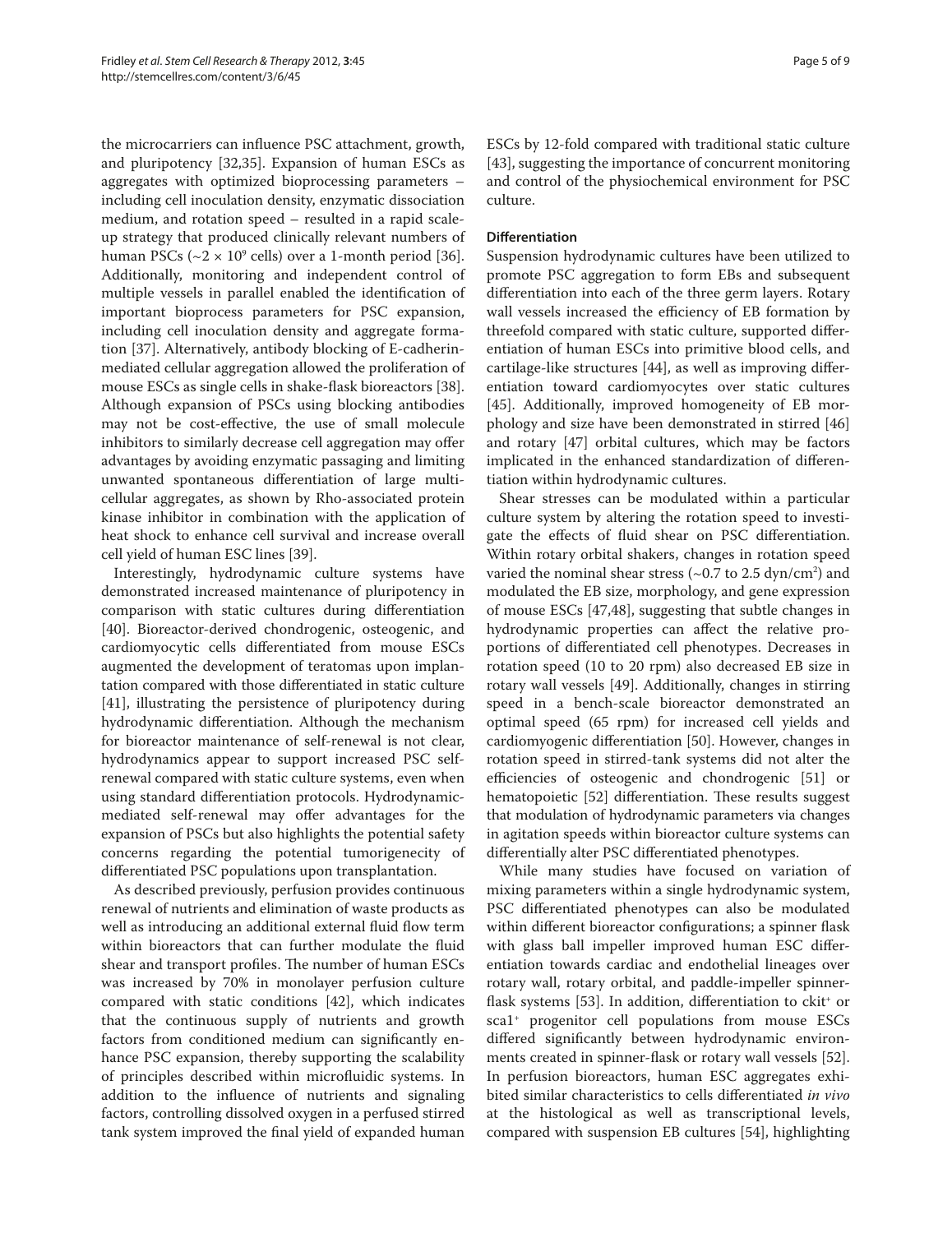the microcarriers can influence PSC attachment, growth, and pluripotency [32,35]. Expansion of human ESCs as aggregates with optimized bioprocessing parameters – including cell inoculation density, enzymatic dissociation medium, and rotation speed – resulted in a rapid scaleup strategy that produced clinically relevant numbers of human PSCs ( $\sim$ 2  $\times$  10<sup>9</sup> cells) over a 1-month period [36]. Additionally, monitoring and independent control of multiple vessels in parallel enabled the identification of important bioprocess parameters for PSC expansion, including cell inoculation density and aggregate formation [37]. Alternatively, antibody blocking of E-cadherinmediated cellular aggregation allowed the proliferation of mouse ESCs as single cells in shake-flask bioreactors [38]. Although expansion of PSCs using blocking antibodies may not be cost-effective, the use of small molecule inhibitors to similarly decrease cell aggregation may offer advantages by avoiding enzymatic passaging and limiting unwanted spontaneous differentiation of large multicellular aggregates, as shown by Rho-associated protein kinase inhibitor in combination with the application of heat shock to enhance cell survival and increase overall cell yield of human ESC lines [39].

Interestingly, hydrodynamic culture systems have demonstrated increased maintenance of pluripotency in comparison with static cultures during differentiation [40]. Bioreactor-derived chondrogenic, osteogenic, and cardiomyocytic cells differentiated from mouse ESCs augmented the development of teratomas upon implantation compared with those differentiated in static culture [41], illustrating the persistence of pluripotency during hydrodynamic differentiation. Although the mechanism for bioreactor maintenance of self-renewal is not clear, hydrodynamics appear to support increased PSC selfrenewal compared with static culture systems, even when using standard differentiation protocols. Hydrodynamicmediated self-renewal may offer advantages for the expansion of PSCs but also highlights the potential safety concerns regarding the potential tumorigenecity of differentiated PSC populations upon transplantation.

As described previously, perfusion provides continuous renewal of nutrients and elimination of waste products as well as introducing an additional external fluid flow term within bioreactors that can further modulate the fluid shear and transport profiles. The number of human ESCs was increased by 70% in monolayer perfusion culture compared with static conditions [42], which indicates that the continuous supply of nutrients and growth factors from conditioned medium can significantly enhance PSC expansion, thereby supporting the scalability of principles described within microfluidic systems. In addition to the influence of nutrients and signaling factors, controlling dissolved oxygen in a perfused stirred tank system improved the final yield of expanded human ESCs by 12-fold compared with traditional static culture [43], suggesting the importance of concurrent monitoring and control of the physiochemical environment for PSC culture.

#### **Differentiation**

Suspension hydrodynamic cultures have been utilized to promote PSC aggregation to form EBs and subsequent differentiation into each of the three germ layers. Rotary wall vessels increased the efficiency of EB formation by threefold compared with static culture, supported differentiation of human ESCs into primitive blood cells, and cartilage-like structures [44], as well as improving differentiation toward cardiomyocytes over static cultures [45]. Additionally, improved homogeneity of EB morphology and size have been demonstrated in stirred [46] and rotary [47] orbital cultures, which may be factors implicated in the enhanced standardization of differentiation within hydrodynamic cultures.

Shear stresses can be modulated within a particular culture system by altering the rotation speed to investigate the effects of fluid shear on PSC differentiation. Within rotary orbital shakers, changes in rotation speed varied the nominal shear stress ( $\sim$ 0.7 to 2.5 dyn/cm<sup>2</sup>) and modulated the EB size, morphology, and gene expression of mouse ESCs [47,48], suggesting that subtle changes in hydrodynamic properties can affect the relative proportions of differentiated cell phenotypes. Decreases in rotation speed (10 to 20 rpm) also decreased EB size in rotary wall vessels [49]. Additionally, changes in stirring speed in a bench-scale bioreactor demonstrated an optimal speed (65 rpm) for increased cell yields and cardiomyogenic differentiation [50]. However, changes in rotation speed in stirred-tank systems did not alter the efficiencies of osteogenic and chondrogenic [51] or hematopoietic [52] differentiation. These results suggest that modulation of hydrodynamic parameters via changes in agitation speeds within bioreactor culture systems can differentially alter PSC differentiated phenotypes.

While many studies have focused on variation of mixing parameters within a single hydrodynamic system, PSC differentiated phenotypes can also be modulated within different bioreactor configurations; a spinner flask with glass ball impeller improved human ESC differentiation towards cardiac and endothelial lineages over rotary wall, rotary orbital, and paddle-impeller spinnerflask systems [53]. In addition, differentiation to ckit<sup>+</sup> or sca1+ progenitor cell populations from mouse ESCs differed significantly between hydrodynamic environments created in spinner-flask or rotary wall vessels [52]. In perfusion bioreactors, human ESC aggregates exhibited similar characteristics to cells differentiated *in vivo* at the histological as well as transcriptional levels, compared with suspension EB cultures [54], highlighting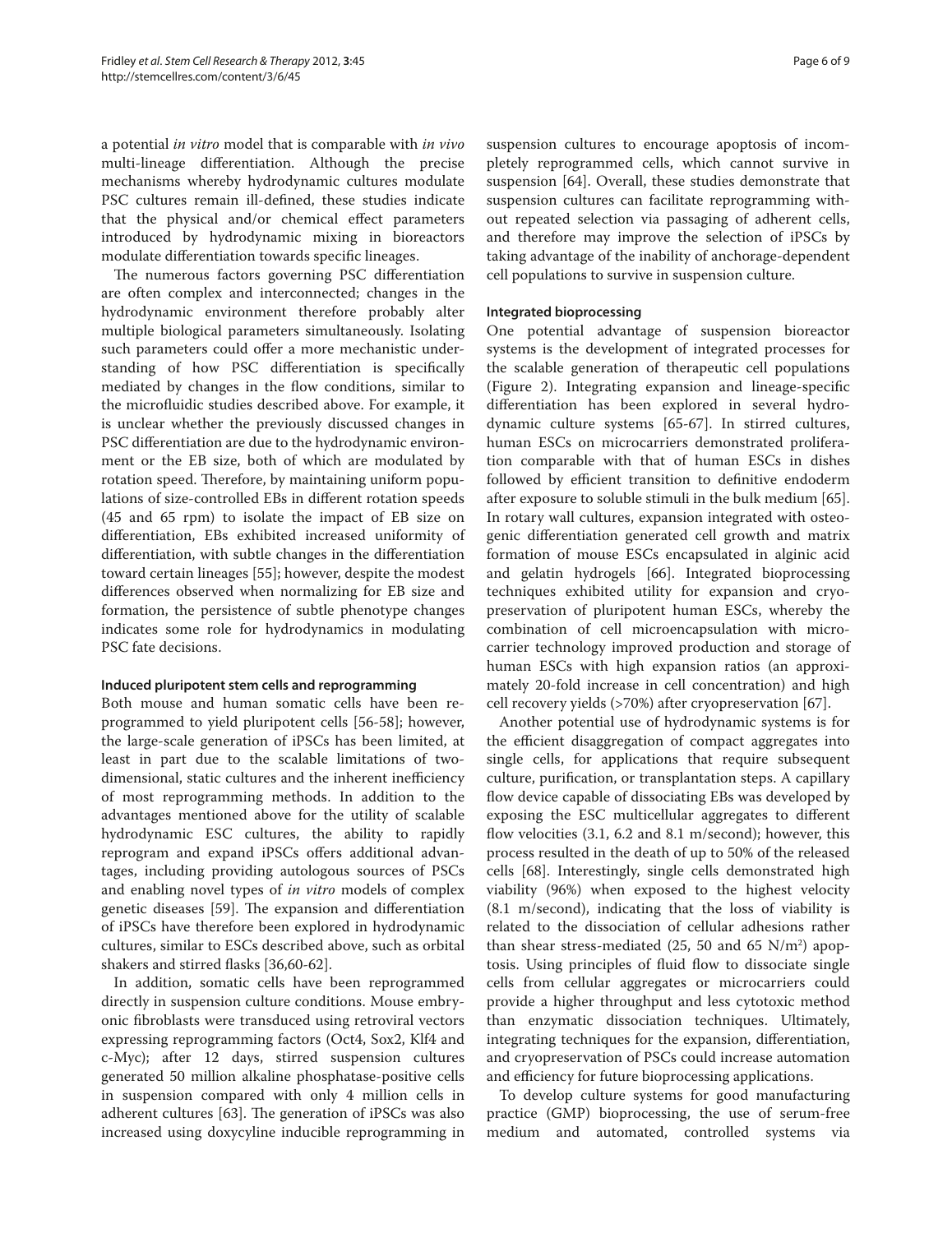a potential *in vitro* model that is comparable with *in vivo* multi-lineage differentiation. Although the precise mechanisms whereby hydrodynamic cultures modulate PSC cultures remain ill-defined, these studies indicate that the physical and/or chemical effect parameters introduced by hydrodynamic mixing in bioreactors modulate differentiation towards specific lineages.

The numerous factors governing PSC differentiation are often complex and interconnected; changes in the hydrodynamic environment therefore probably alter multiple biological parameters simultaneously. Isolating such parameters could offer a more mechanistic understanding of how PSC differentiation is specifically mediated by changes in the flow conditions, similar to the microfluidic studies described above. For example, it is unclear whether the previously discussed changes in PSC differentiation are due to the hydrodynamic environment or the EB size, both of which are modulated by rotation speed. Therefore, by maintaining uniform populations of size-controlled EBs in different rotation speeds (45 and 65 rpm) to isolate the impact of EB size on differentiation, EBs exhibited increased uniformity of differentiation, with subtle changes in the differentiation toward certain lineages [55]; however, despite the modest differences observed when normalizing for EB size and formation, the persistence of subtle phenotype changes indicates some role for hydrodynamics in modulating PSC fate decisions.

## **Induced pluripotent stem cells and reprogramming**

Both mouse and human somatic cells have been reprogrammed to yield pluripotent cells [56-58]; however, the large-scale generation of iPSCs has been limited, at least in part due to the scalable limitations of twodimensional, static cultures and the inherent inefficiency of most reprogramming methods. In addition to the advantages mentioned above for the utility of scalable hydrodynamic ESC cultures, the ability to rapidly reprogram and expand iPSCs offers additional advantages, including providing autologous sources of PSCs and enabling novel types of *in vitro* models of complex genetic diseases [59]. The expansion and differentiation of iPSCs have therefore been explored in hydrodynamic cultures, similar to ESCs described above, such as orbital shakers and stirred flasks [36,60-62].

In addition, somatic cells have been reprogrammed directly in suspension culture conditions. Mouse embryonic fibroblasts were transduced using retroviral vectors expressing reprogramming factors (Oct4, Sox2, Klf4 and c-Myc); after 12 days, stirred suspension cultures generated 50 million alkaline phosphatase-positive cells in suspension compared with only 4 million cells in adherent cultures [63]. The generation of iPSCs was also increased using doxycyline inducible reprogramming in suspension cultures to encourage apoptosis of incompletely reprogrammed cells, which cannot survive in suspension [64]. Overall, these studies demonstrate that suspension cultures can facilitate reprogramming without repeated selection via passaging of adherent cells, and therefore may improve the selection of iPSCs by taking advantage of the inability of anchorage-dependent cell populations to survive in suspension culture.

## **Integrated bioprocessing**

One potential advantage of suspension bioreactor systems is the development of integrated processes for the scalable generation of therapeutic cell populations (Figure 2). Integrating expansion and lineage-specific differentiation has been explored in several hydrodynamic culture systems [65-67]. In stirred cultures, human ESCs on microcarriers demonstrated proliferation comparable with that of human ESCs in dishes followed by efficient transition to definitive endoderm after exposure to soluble stimuli in the bulk medium [65]. In rotary wall cultures, expansion integrated with osteogenic differentiation generated cell growth and matrix formation of mouse ESCs encapsulated in alginic acid and gelatin hydrogels [66]. Integrated bioprocessing techniques exhibited utility for expansion and cryopreservation of pluripotent human ESCs, whereby the combination of cell microencapsulation with microcarrier technology improved production and storage of human ESCs with high expansion ratios (an approximately 20-fold increase in cell concentration) and high cell recovery yields (>70%) after cryopreservation [67].

Another potential use of hydrodynamic systems is for the efficient disaggregation of compact aggregates into single cells, for applications that require subsequent culture, purification, or transplantation steps. A capillary flow device capable of dissociating EBs was developed by exposing the ESC multicellular aggregates to different flow velocities  $(3.1, 6.2 \text{ and } 8.1 \text{ m/second)}$ ; however, this process resulted in the death of up to 50% of the released cells [68]. Interestingly, single cells demonstrated high viability (96%) when exposed to the highest velocity (8.1 m/second), indicating that the loss of viability is related to the dissociation of cellular adhesions rather than shear stress-mediated  $(25, 50 \text{ and } 65 \text{ N/m}^2)$  apoptosis. Using principles of fluid flow to dissociate single cells from cellular aggregates or microcarriers could provide a higher throughput and less cytotoxic method than enzymatic dissociation techniques. Ultimately, integrating techniques for the expansion, differentiation, and cryopreservation of PSCs could increase automation and efficiency for future bioprocessing applications.

To develop culture systems for good manufacturing practice (GMP) bioprocessing, the use of serum-free medium and automated, controlled systems via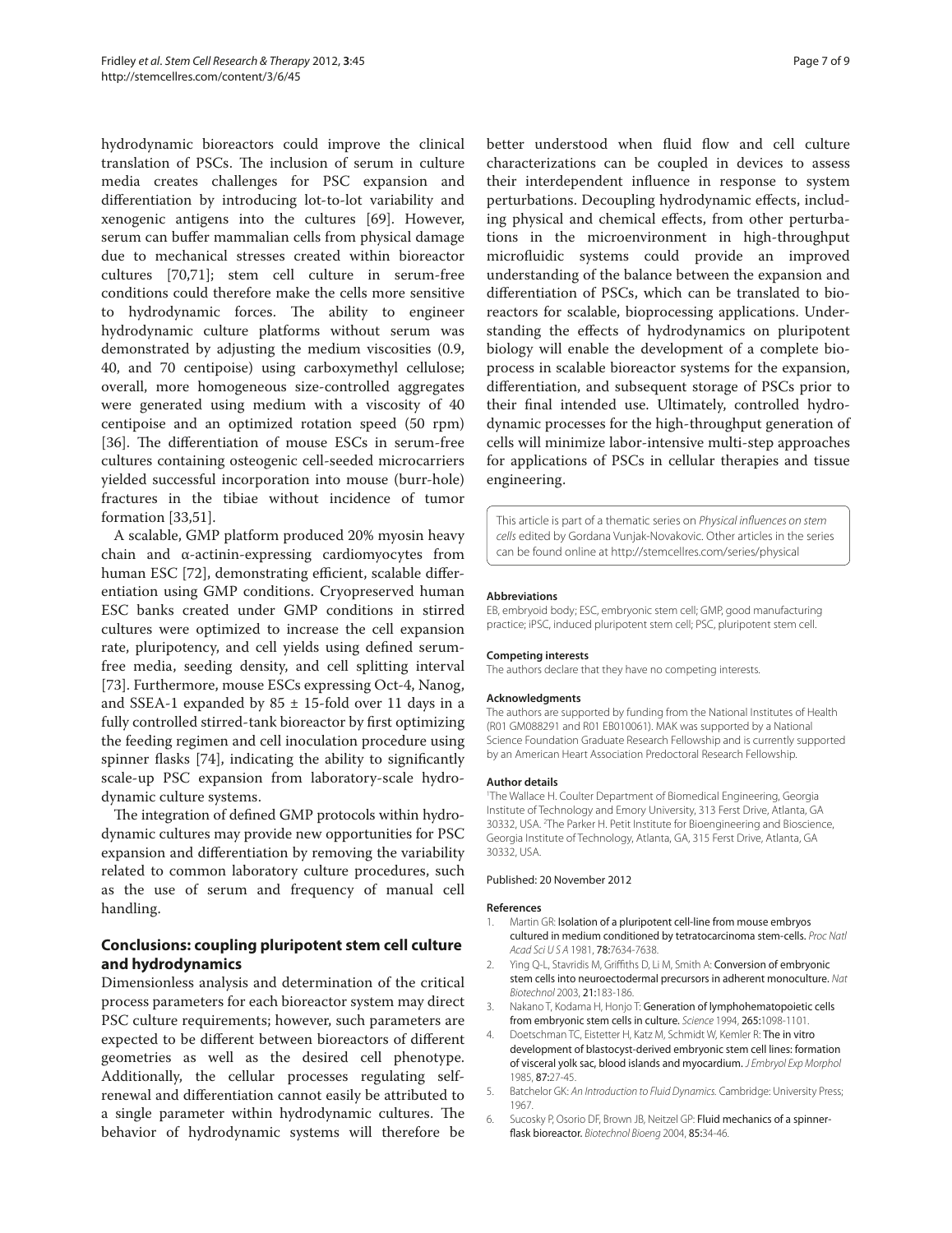hydro dynamic bioreactors could improve the clinical translation of PSCs. The inclusion of serum in culture media creates challenges for PSC expansion and differentiation by introducing lot-to-lot variability and xenogenic antigens into the cultures [69]. However, serum can buffer mammalian cells from physical damage due to mechanical stresses created within bioreactor cultures [70,71]; stem cell culture in serum-free conditions could therefore make the cells more sensitive to hydrodynamic forces. The ability to engineer hydrodynamic culture platforms without serum was demonstrated by adjusting the medium viscosities (0.9, 40, and 70 centipoise) using carboxymethyl cellulose; overall, more homogeneous size-controlled aggregates were generated using medium with a viscosity of 40 centipoise and an optimized rotation speed (50 rpm) [36]. The differentiation of mouse ESCs in serum-free cultures containing osteogenic cell-seeded microcarriers yielded successful incorporation into mouse (burr-hole) fractures in the tibiae without incidence of tumor formation [33,51].

A scalable, GMP platform produced 20% myosin heavy chain and α-actinin-expressing cardiomyocytes from human ESC [72], demonstrating efficient, scalable differentiation using GMP conditions. Cryopreserved human ESC banks created under GMP conditions in stirred cultures were optimized to increase the cell expansion rate, pluripotency, and cell yields using defined serumfree media, seeding density, and cell splitting interval [73]. Furthermore, mouse ESCs expressing Oct-4, Nanog, and SSEA-1 expanded by  $85 \pm 15$ -fold over 11 days in a fully controlled stirred-tank bioreactor by first optimizing the feeding regimen and cell inoculation procedure using spinner flasks  $[74]$ , indicating the ability to significantly scale-up PSC expansion from laboratory-scale hydrodynamic culture systems.

The integration of defined GMP protocols within hydrodynamic cultures may provide new opportunities for PSC expansion and differentiation by removing the variability related to common laboratory culture procedures, such as the use of serum and frequency of manual cell handling.

## **Conclusions: coupling pluripotent stem cell culture and hydrodynamics**

Dimensionless analysis and determination of the critical process parameters for each bioreactor system may direct PSC culture requirements; however, such parameters are expected to be different between bioreactors of different geometries as well as the desired cell phenotype. Additionally, the cellular processes regulating selfrenewal and differentiation cannot easily be attributed to a single parameter within hydrodynamic cultures. The behavior of hydrodynamic systems will therefore be better understood when fluid flow and cell culture characterizations can be coupled in devices to assess their interdependent influence in response to system perturbations. Decoupling hydrodynamic effects, including physical and chemical effects, from other perturbations in the microenvironment in high-throughput microfluidic systems could provide an improved understanding of the balance between the expansion and differentiation of PSCs, which can be translated to bioreactors for scalable, bioprocessing applications. Understanding the effects of hydrodynamics on pluripotent biology will enable the development of a complete bioprocess in scalable bioreactor systems for the expansion, differentiation, and subsequent storage of PSCs prior to their final intended use. Ultimately, controlled hydrodynamic processes for the high-throughput generation of cells will minimize labor-intensive multi-step approaches for applications of PSCs in cellular therapies and tissue engineering.

This article is part of a thematic series on Physical influences on stem cells edited by Gordana Vunjak-Novakovic. Other articles in the series can be found online at http://stemcellres.com/series/physical

#### **Abbreviations**

EB, embryoid body; ESC, embryonic stem cell; GMP, good manufacturing practice; iPSC, induced pluripotent stem cell; PSC, pluripotent stem cell.

#### **Competing interests**

The authors declare that they have no competing interests.

#### **Acknowledgments**

The authors are supported by funding from the National Institutes of Health (R01 GM088291 and R01 EB010061). MAK was supported by a National Science Foundation Graduate Research Fellowship and is currently supported by an American Heart Association Predoctoral Research Fellowship.

#### **Author details**

1 The Wallace H. Coulter Department of Biomedical Engineering, Georgia Institute of Technology and Emory University, 313 Ferst Drive, Atlanta, GA 30332, USA. 2 The Parker H. Petit Institute for Bioengineering and Bioscience, Georgia Institute of Technology, Atlanta, GA, 315 Ferst Drive, Atlanta, GA 30332, USA.

#### Published: 20 November 2012

#### **References**

- 1. Martin GR: Isolation of a pluripotent cell-line from mouse embryos cultured in medium conditioned by tetratocarcinoma stem-cells. Proc Natl Acad Sci U S A 1981, 78:7634-7638.
- 2. Ying Q-L, Stavridis M, Griffiths D, Li M, Smith A: Conversion of embryonic stem cells into neuroectodermal precursors in adherent monoculture. Nat Biotechnol 2003, 21:183-186.
- 3. Nakano T, Kodama H, Honjo T: Generation of lymphohematopoietic cells from embryonic stem cells in culture. Science 1994, 265:1098-1101.
- 4. Doetschman TC, Eistetter H, Katz M, Schmidt W, Kemler R: The in vitro development of blastocyst-derived embryonic stem cell lines: formation of visceral yolk sac, blood islands and myocardium. J Embryol Exp Morphol 1985, 87:27-45.
- 5. Batchelor GK: An Introduction to Fluid Dynamics. Cambridge: University Press; 1967.
- 6. Sucosky P, Osorio DF, Brown JB, Neitzel GP: Fluid mechanics of a spinnerflask bioreactor. Biotechnol Bioeng 2004, 85:34-46.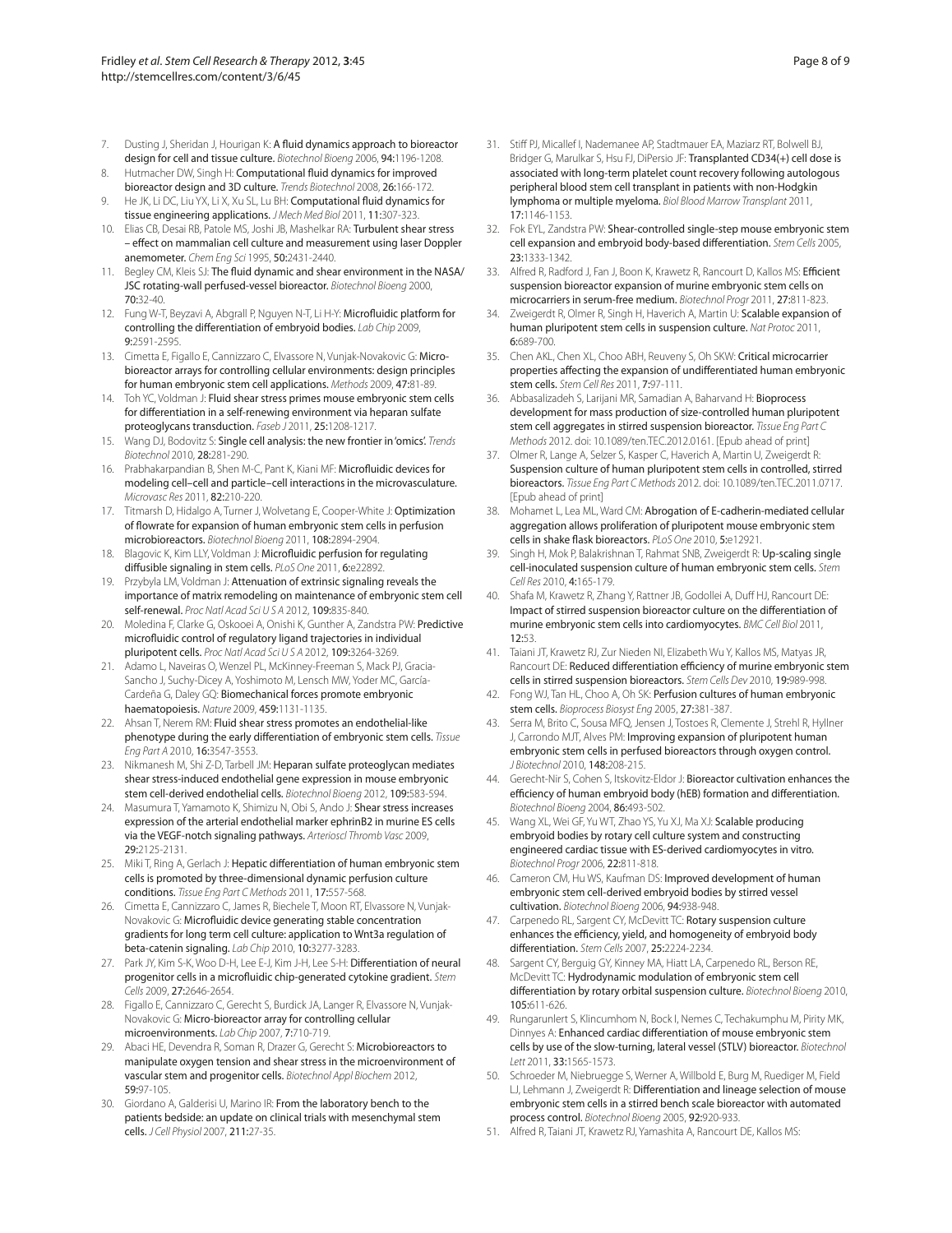- 7. Dusting J, Sheridan J, Hourigan K: A fluid dynamics approach to bioreactor design for cell and tissue culture. Biotechnol Bioeng 2006, 94:1196-1208.
- 8. Hutmacher DW, Singh H: Computational fluid dynamics for improved bioreactor design and 3D culture. Trends Biotechnol 2008, 26:166-172.
- 9. He JK, Li DC, Liu YX, Li X, Xu SL, Lu BH: Computational fluid dynamics for tissue engineering applications. J Mech Med Biol 2011, 11:307-323.
- 10. Elias CB, Desai RB, Patole MS, Joshi JB, Mashelkar RA: Turbulent shear stress – effect on mammalian cell culture and measurement using laser Doppler anemometer. Chem Eng Sci 1995, 50:2431-2440.
- 11. Begley CM, Kleis SJ: The fluid dynamic and shear environment in the NASA/ JSC rotating-wall perfused-vessel bioreactor. Biotechnol Bioeng 2000, 70:32-40.
- 12. Fung W-T, Beyzavi A, Abgrall P, Nguyen N-T, Li H-Y: Microfluidic platform for controlling the differentiation of embryoid bodies. Lab Chip 2009, 9:2591-2595.
- 13. Cimetta E, Figallo E, Cannizzaro C, Elvassore N, Vunjak-Novakovic G: Microbioreactor arrays for controlling cellular environments: design principles for human embryonic stem cell applications. Methods 2009, 47:81-89.
- 14. Toh YC, Voldman J: Fluid shear stress primes mouse embryonic stem cells for differentiation in a self-renewing environment via heparan sulfate proteoglycans transduction. Faseb J 2011, 25:1208-1217.
- 15. Wang DJ, Bodovitz S: Single cell analysis: the new frontier in 'omics'. Trends Biotechnol 2010, 28:281-290.
- 16. Prabhakarpandian B, Shen M-C, Pant K, Kiani MF: Microfluidic devices for modeling cell–cell and particle–cell interactions in the microvasculature. Microvasc Res 2011, 82:210-220.
- 17. Titmarsh D, Hidalgo A, Turner J, Wolvetang E, Cooper-White J: Optimization of flowrate for expansion of human embryonic stem cells in perfusion microbioreactors. Biotechnol Bioeng 2011, 108:2894-2904.
- 18. Blagovic K, Kim LLY, Voldman J: Microfluidic perfusion for regulating diffusible signaling in stem cells. PLoS One 2011, 6:e22892.
- 19. Przybyla LM, Voldman J: Attenuation of extrinsic signaling reveals the importance of matrix remodeling on maintenance of embryonic stem cell self-renewal. Proc Natl Acad Sci U S A 2012, 109:835-840.
- 20. Moledina F, Clarke G, Oskooei A, Onishi K, Gunther A, Zandstra PW: Predictive microfluidic control of regulatory ligand trajectories in individual pluripotent cells. Proc Natl Acad Sci U S A 2012, 109:3264-3269.
- 21. Adamo L, Naveiras O, Wenzel PL, McKinney-Freeman S, Mack PJ, Gracia-Sancho J, Suchy-Dicey A, Yoshimoto M, Lensch MW, Yoder MC, García-Cardeña G, Daley GQ: Biomechanical forces promote embryonic haematopoiesis. Nature 2009, 459:1131-1135.
- 22. Ahsan T, Nerem RM: Fluid shear stress promotes an endothelial-like phenotype during the early differentiation of embryonic stem cells. Tissue Eng Part A 2010, 16:3547-3553.
- 23. Nikmanesh M, Shi Z-D, Tarbell JM: Heparan sulfate proteoglycan mediates shear stress-induced endothelial gene expression in mouse embryonic stem cell-derived endothelial cells. Biotechnol Bioeng 2012, 109:583-594.
- 24. Masumura T, Yamamoto K, Shimizu N, Obi S, Ando J: Shear stress increases expression of the arterial endothelial marker ephrinB2 in murine ES cells via the VEGF-notch signaling pathways. Arterioscl Thromb Vasc 2009, 29:2125-2131.
- 25. Miki T, Ring A, Gerlach J: Hepatic differentiation of human embryonic stem cells is promoted by three-dimensional dynamic perfusion culture conditions. Tissue Eng Part C Methods 2011, 17:557-568.
- 26. Cimetta E, Cannizzaro C, James R, Biechele T, Moon RT, Elvassore N, Vunjak-Novakovic G: Microfluidic device generating stable concentration gradients for long term cell culture: application to Wnt3a regulation of beta-catenin signaling. Lab Chip 2010, 10:3277-3283.
- 27. Park JY, Kim S-K, Woo D-H, Lee E-J, Kim J-H, Lee S-H: Differentiation of neural progenitor cells in a microfluidic chip-generated cytokine gradient. Stem Cells 2009, 27:2646-2654.
- 28. Figallo E, Cannizzaro C, Gerecht S, Burdick JA, Langer R, Elvassore N, Vunjak-Novakovic G: Micro-bioreactor array for controlling cellular microenvironments. Lab Chip 2007, 7:710-719.
- 29. Abaci HE, Devendra R, Soman R, Drazer G, Gerecht S: Microbioreactors to manipulate oxygen tension and shear stress in the microenvironment of vascular stem and progenitor cells. Biotechnol Appl Biochem 2012, 59:97-105.
- 30. Giordano A, Galderisi U, Marino IR: From the laboratory bench to the patients bedside: an update on clinical trials with mesenchymal stem cells. J Cell Physiol 2007, 211:27-35.
- 31. Stiff PJ, Micallef I, Nademanee AP, Stadtmauer EA, Maziarz RT, Bolwell BJ, Bridger G, Marulkar S, Hsu FJ, DiPersio JF: Transplanted CD34(+) cell dose is associated with long-term platelet count recovery following autologous peripheral blood stem cell transplant in patients with non-Hodgkin lymphoma or multiple myeloma. Biol Blood Marrow Transplant 2011, 17:1146-1153.
- 32. Fok EYL, Zandstra PW: Shear-controlled single-step mouse embryonic stem cell expansion and embryoid body-based differentiation. Stem Cells 2005, 23:1333-1342.
- 33. Alfred R, Radford J, Fan J, Boon K, Krawetz R, Rancourt D, Kallos MS: Efficient suspension bioreactor expansion of murine embryonic stem cells on microcarriers in serum-free medium. Biotechnol Progr 2011, 27:811-823.
- 34. Zweigerdt R, Olmer R, Singh H, Haverich A, Martin U: Scalable expansion of human pluripotent stem cells in suspension culture. Nat Protoc 2011, 6:689-700.
- 35. Chen AKL, Chen XL, Choo ABH, Reuveny S, Oh SKW: Critical microcarrier properties affecting the expansion of undifferentiated human embryonic stem cells. Stem Cell Res 2011, 7:97-111.
- 36. Abbasalizadeh S, Larijani MR, Samadian A, Baharvand H: Bioprocess development for mass production of size-controlled human pluripotent stem cell aggregates in stirred suspension bioreactor. Tissue Eng Part C Methods 2012. doi: 10.1089/ten.TEC.2012.0161. [Epub ahead of print]
- 37. Olmer R, Lange A, Selzer S, Kasper C, Haverich A, Martin U, Zweigerdt R: Suspension culture of human pluripotent stem cells in controlled, stirred bioreactors. Tissue Eng Part C Methods 2012. doi: 10.1089/ten.TEC.2011.0717. [Epub ahead of print]
- 38. Mohamet L, Lea ML, Ward CM: Abrogation of E-cadherin-mediated cellular aggregation allows proliferation of pluripotent mouse embryonic stem cells in shake flask bioreactors. PLoS One 2010, 5:e12921
- 39. Singh H, Mok P, Balakrishnan T, Rahmat SNB, Zweigerdt R: Up-scaling single cell-inoculated suspension culture of human embryonic stem cells. Stem Cell Res 2010, 4:165-179.
- 40. Shafa M, Krawetz R, Zhang Y, Rattner JB, Godollei A, Duff HJ, Rancourt DE: Impact of stirred suspension bioreactor culture on the differentiation of murine embryonic stem cells into cardiomyocytes. BMC Cell Biol 2011, 12:53.
- 41. Taiani JT, Krawetz RJ, Zur Nieden NI, Elizabeth Wu Y, Kallos MS, Matyas JR, Rancourt DE: Reduced differentiation efficiency of murine embryonic stem cells in stirred suspension bioreactors. Stem Cells Dev 2010, 19:989-998.
- 42. Fong WJ, Tan HL, Choo A, Oh SK: Perfusion cultures of human embryonic stem cells. Bioprocess Biosyst Eng 2005, 27:381-387.
- 43. Serra M, Brito C, Sousa MFQ, Jensen J, Tostoes R, Clemente J, Strehl R, Hyllner J, Carrondo MJT, Alves PM: Improving expansion of pluripotent human embryonic stem cells in perfused bioreactors through oxygen control. J Biotechnol 2010, 148:208-215.
- 44. Gerecht-Nir S, Cohen S, Itskovitz-Eldor J: Bioreactor cultivation enhances the efficiency of human embryoid body (hEB) formation and differentiation. Biotechnol Bioeng 2004, 86:493-502.
- Wang XL, Wei GF, Yu WT, Zhao YS, Yu XJ, Ma XJ: Scalable producing embryoid bodies by rotary cell culture system and constructing engineered cardiac tissue with ES-derived cardiomyocytes in vitro. Biotechnol Progr 2006, 22:811-818.
- 46. Cameron CM, Hu WS, Kaufman DS: Improved development of human embryonic stem cell-derived embryoid bodies by stirred vessel cultivation. Biotechnol Bioeng 2006, 94:938-948.
- Carpenedo RL, Sargent CY, McDevitt TC: Rotary suspension culture enhances the efficiency, yield, and homogeneity of embryoid body differentiation. Stem Cells 2007, 25:2224-2234.
- 48. Sargent CY, Berguig GY, Kinney MA, Hiatt LA, Carpenedo RL, Berson RE, McDevitt TC: Hydrodynamic modulation of embryonic stem cell differentiation by rotary orbital suspension culture. Biotechnol Bioeng 2010, 105:611-626.
- 49. Rungarunlert S, Klincumhom N, Bock I, Nemes C, Techakumphu M, Pirity MK, Dinnyes A: Enhanced cardiac differentiation of mouse embryonic stem cells by use of the slow-turning, lateral vessel (STLV) bioreactor. Biotechnol Lett 2011, 33:1565-1573.
- 50. Schroeder M, Niebruegge S, Werner A, Willbold E, Burg M, Ruediger M, Field LJ, Lehmann J, Zweigerdt R: Differentiation and lineage selection of mouse embryonic stem cells in a stirred bench scale bioreactor with automated process control. Biotechnol Bioeng 2005, 92:920-933.
- 51. Alfred R, Taiani JT, Krawetz RJ, Yamashita A, Rancourt DE, Kallos MS: